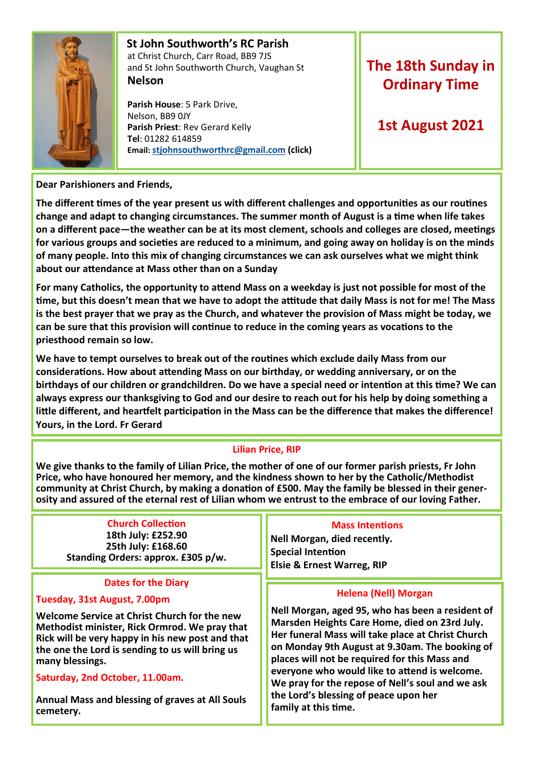

#### **St John Southworth's RC Parish** at Christ Church, Carr Road, BB9 7JS and St John Southworth Church, Vaughan St **Nelson**

 **Parish House**: 5 Park Drive, Nelson, BB9 0JY **Parish Priest**: Rev Gerard Kelly **Tel**: 01282 614859 **Email: [stjohnsouthworthrc@gmail.com](mailto:stjohnsouthworth@gmail.com) (click)**

# **The 18th Sunday in Ordinary Time**

## **1st August 2021**

## **Dear Parishioners and Friends,**

**The different times of the year present us with different challenges and opportunities as our routines change and adapt to changing circumstances. The summer month of August is a time when life takes on a different pace—the weather can be at its most clement, schools and colleges are closed, meetings for various groups and societies are reduced to a minimum, and going away on holiday is on the minds of many people. Into this mix of changing circumstances we can ask ourselves what we might think about our attendance at Mass other than on a Sunday**

**For many Catholics, the opportunity to attend Mass on a weekday is just not possible for most of the time, but this doesn't mean that we have to adopt the attitude that daily Mass is not for me! The Mass is the best prayer that we pray as the Church, and whatever the provision of Mass might be today, we can be sure that this provision will continue to reduce in the coming years as vocations to the priesthood remain so low.**

**We have to tempt ourselves to break out of the routines which exclude daily Mass from our considerations. How about attending Mass on our birthday, or wedding anniversary, or on the birthdays of our children or grandchildren. Do we have a special need or intention at this time? We can always express our thanksgiving to God and our desire to reach out for his help by doing something a little different, and heartfelt participation in the Mass can be the difference that makes the difference! Yours, in the Lord. Fr Gerard**

## **Lilian Price, RIP**

**We give thanks to the family of Lilian Price, the mother of one of our former parish priests, Fr John Price, who have honoured her memory, and the kindness shown to her by the Catholic/Methodist community at Christ Church, by making a donation of £500. May the family be blessed in their generosity and assured of the eternal rest of Lilian whom we entrust to the embrace of our loving Father.**

#### **Church Collection 18th July: £252.90 25th July: £168.60 Standing Orders: approx. £305 p/w.**

#### **Dates for the Diary**

## **Tuesday, 31st August, 7.00pm**

**Welcome Service at Christ Church for the new Methodist minister, Rick Ormrod. We pray that Rick will be very happy in his new post and that the one the Lord is sending to us will bring us many blessings.**

**Saturday, 2nd October, 11.00am.** 

**Annual Mass and blessing of graves at All Souls cemetery.** 

#### **Mass Intentions**

**Nell Morgan, died recently. Special Intention Elsie & Ernest Warreg, RIP**

#### **Helena (Nell) Morgan**

**Nell Morgan, aged 95, who has been a resident of Marsden Heights Care Home, died on 23rd July. Her funeral Mass will take place at Christ Church on Monday 9th August at 9.30am. The booking of places will not be required for this Mass and everyone who would like to attend is welcome. We pray for the repose of Nell's soul and we ask the Lord's blessing of peace upon her family at this time.**